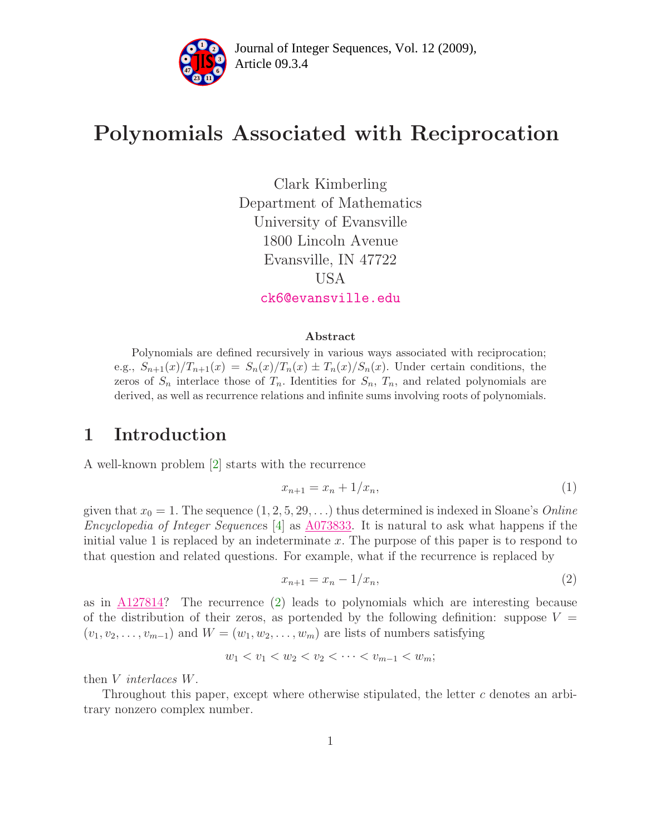

### Polynomials Associated with Reciprocation

Clark Kimberling Department of Mathematics University of Evansville 1800 Lincoln Avenue Evansville, IN 47722 USA [ck6@evansville.edu](mailto:ck6@evansville.edu)

#### Abstract

Polynomials are defined recursively in various ways associated with reciprocation; e.g.,  $S_{n+1}(x)/T_{n+1}(x) = S_n(x)/T_n(x) \pm T_n(x)/S_n(x)$ . Under certain conditions, the zeros of  $S_n$  interlace those of  $T_n$ . Identities for  $S_n$ ,  $T_n$ , and related polynomials are derived, as well as recurrence relations and infinite sums involving roots of polynomials.

### 1 Introduction

A well-known problem [\[2\]](#page-9-0) starts with the recurrence

<span id="page-0-1"></span>
$$
x_{n+1} = x_n + 1/x_n, \tag{1}
$$

given that  $x_0 = 1$ . The sequence  $(1, 2, 5, 29, ...)$  thus determined is indexed in Sloane's *Online* Encyclopedia of Integer Sequences  $|4|$  as [A073833.](http://www.research.att.com/cgi-bin/access.cgi/as/~njas/sequences/eisA.cgi?Anum=A073833) It is natural to ask what happens if the initial value 1 is replaced by an indeterminate x. The purpose of this paper is to respond to that question and related questions. For example, what if the recurrence is replaced by

<span id="page-0-0"></span>
$$
x_{n+1} = x_n - 1/x_n,
$$
\n(2)

as in [A127814?](http://www.research.att.com/cgi-bin/access.cgi/as/~njas/sequences/eisA.cgi?Anum=A127814) The recurrence [\(2\)](#page-0-0) leads to polynomials which are interesting because of the distribution of their zeros, as portended by the following definition: suppose  $V =$  $(v_1, v_2, \ldots, v_{m-1})$  and  $W = (w_1, w_2, \ldots, w_m)$  are lists of numbers satisfying

$$
w_1 < v_1 < w_2 < v_2 < \cdots < v_{m-1} < w_m
$$

then V interlaces W.

Throughout this paper, except where otherwise stipulated, the letter c denotes an arbitrary nonzero complex number.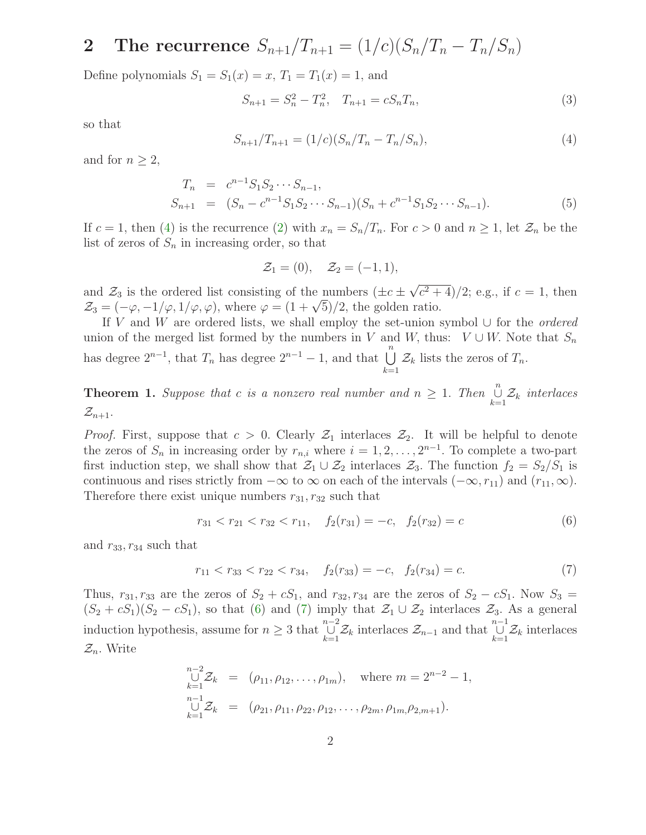### 2 The recurrence  $S_{n+1}/T_{n+1} = (1/c)(S_n/T_n - T_n/S_n)$

Define polynomials  $S_1 = S_1(x) = x$ ,  $T_1 = T_1(x) = 1$ , and

<span id="page-1-3"></span>
$$
S_{n+1} = S_n^2 - T_n^2, \quad T_{n+1} = c S_n T_n,
$$
\n(3)

<span id="page-1-0"></span>so that

$$
S_{n+1}/T_{n+1} = (1/c)(S_n/T_n - T_n/S_n),
$$
\n(4)

<span id="page-1-5"></span>and for  $n \geq 2$ ,

$$
T_n = c^{n-1} S_1 S_2 \cdots S_{n-1},
$$
  
\n
$$
S_{n+1} = (S_n - c^{n-1} S_1 S_2 \cdots S_{n-1}) (S_n + c^{n-1} S_1 S_2 \cdots S_{n-1}).
$$
\n(5)

If  $c = 1$ , then [\(4\)](#page-1-0) is the recurrence [\(2\)](#page-0-0) with  $x_n = S_n/T_n$ . For  $c > 0$  and  $n \ge 1$ , let  $\mathcal{Z}_n$  be the list of zeros of  $S_n$  in increasing order, so that

$$
\mathcal{Z}_1 = (0), \quad \mathcal{Z}_2 = (-1, 1),
$$

and  $\mathcal{Z}_3$  is the ordered list consisting of the numbers  $(\pm c \pm \sqrt{c^2 + 4})/2$ ; e.g., if  $c = 1$ , then  $\mathcal{Z}_3 = (-\varphi, -1/\varphi, 1/\varphi, \varphi)$ , where  $\varphi = (1 + \sqrt{5})/2$ , the golden ratio.

If V and W are ordered lists, we shall employ the set-union symbol ∪ for the *ordered* union of the merged list formed by the numbers in V and W, thus:  $V \cup W$ . Note that  $S_n$ has degree  $2^{n-1}$ , that  $T_n$  has degree  $2^{n-1} - 1$ , and that  $\bigcup_{k=1}^n \mathcal{Z}_k$  lists the zeros of  $T_n$ .

<span id="page-1-4"></span>**Theorem 1.** Suppose that c is a nonzero real number and  $n \geq 1$ . Then  $\bigcup_{k=1}^{n}$  $\bigcup_{k=1}^{\infty} \mathcal{Z}_k$  interlaces  $\mathcal{Z}_{n+1}.$ 

*Proof.* First, suppose that  $c > 0$ . Clearly  $\mathcal{Z}_1$  interlaces  $\mathcal{Z}_2$ . It will be helpful to denote the zeros of  $S_n$  in increasing order by  $r_{n,i}$  where  $i = 1, 2, ..., 2^{n-1}$ . To complete a two-part first induction step, we shall show that  $\mathcal{Z}_1 \cup \mathcal{Z}_2$  interlaces  $\mathcal{Z}_3$ . The function  $f_2 = S_2/S_1$  is continuous and rises strictly from  $-\infty$  to  $\infty$  on each of the intervals  $(-\infty, r_{11})$  and  $(r_{11}, \infty)$ . Therefore there exist unique numbers  $r_{31}, r_{32}$  such that

<span id="page-1-1"></span>
$$
r_{31} < r_{21} < r_{32} < r_{11}, \quad f_2(r_{31}) = -c, \quad f_2(r_{32}) = c \tag{6}
$$

<span id="page-1-2"></span>and  $r_{33}$ ,  $r_{34}$  such that

$$
r_{11} < r_{33} < r_{22} < r_{34}, \quad f_2(r_{33}) = -c, \quad f_2(r_{34}) = c. \tag{7}
$$

Thus,  $r_{31}, r_{33}$  are the zeros of  $S_2 + cS_1$ , and  $r_{32}, r_{34}$  are the zeros of  $S_2 - cS_1$ . Now  $S_3 =$  $(S_2 + cS_1)(S_2 - cS_1)$ , so that [\(6\)](#page-1-1) and [\(7\)](#page-1-2) imply that  $\mathcal{Z}_1 \cup \mathcal{Z}_2$  interlaces  $\mathcal{Z}_3$ . As a general induction hypothesis, assume for  $n \geq 3$  that  $\bigcup_{k=1}^{n-2}$  $\bigcup_{k=1}^{n-2} \mathcal{Z}_k$  interlaces  $\mathcal{Z}_{n-1}$  and that  $\bigcup_{k=1}^{n-1}$  $\bigcup_{k=1} \mathcal{Z}_k$  interlaces  $\mathcal{Z}_n$ . Write

$$
\bigcup_{k=1}^{n-2} \mathcal{Z}_k = (\rho_{11}, \rho_{12}, \dots, \rho_{1m}), \text{ where } m = 2^{n-2} - 1,
$$
  
\n
$$
\bigcup_{k=1}^{n-1} \mathcal{Z}_k = (\rho_{21}, \rho_{11}, \rho_{22}, \rho_{12}, \dots, \rho_{2m}, \rho_{1m}, \rho_{2,m+1}).
$$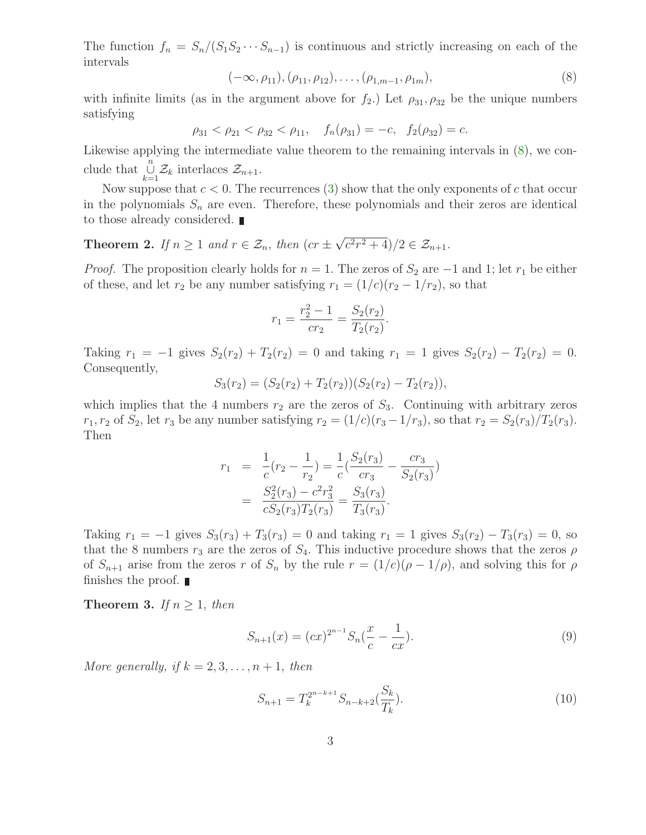<span id="page-2-0"></span>The function  $f_n = S_n/(S_1S_2\cdots S_{n-1})$  is continuous and strictly increasing on each of the intervals

$$
(-\infty, \rho_{11}), (\rho_{11}, \rho_{12}), \dots, (\rho_{1,m-1}, \rho_{1m}), \tag{8}
$$

with infinite limits (as in the argument above for  $f_2$ .) Let  $\rho_{31}, \rho_{32}$  be the unique numbers satisfying

$$
\rho_{31} < \rho_{21} < \rho_{32} < \rho_{11}, \quad f_n(\rho_{31}) = -c, \quad f_2(\rho_{32}) = c.
$$

Likewise applying the intermediate value theorem to the remaining intervals in [\(8\)](#page-2-0), we conclude that  $\bigcup_{n=1}^{\infty}$  $\bigcup_{k=1}^{\infty} \mathcal{Z}_k$  interlaces  $\mathcal{Z}_{n+1}$ .

Now suppose that  $c < 0$ . The recurrences [\(3\)](#page-1-3) show that the only exponents of c that occur in the polynomials  $S_n$  are even. Therefore, these polynomials and their zeros are identical to those already considered.

<span id="page-2-4"></span>**Theorem 2.** If  $n \geq 1$  and  $r \in \mathcal{Z}_n$ , then  $(cr \pm \sqrt{c^2r^2 + 4})/2 \in \mathcal{Z}_{n+1}$ .

*Proof.* The proposition clearly holds for  $n = 1$ . The zeros of  $S_2$  are  $-1$  and 1; let  $r_1$  be either of these, and let  $r_2$  be any number satisfying  $r_1 = (1/c)(r_2 - 1/r_2)$ , so that

$$
r_1 = \frac{r_2^2 - 1}{cr_2} = \frac{S_2(r_2)}{T_2(r_2)}.
$$

Taking  $r_1 = -1$  gives  $S_2(r_2) + T_2(r_2) = 0$  and taking  $r_1 = 1$  gives  $S_2(r_2) - T_2(r_2) = 0$ . Consequently,

$$
S_3(r_2) = (S_2(r_2) + T_2(r_2))(S_2(r_2) - T_2(r_2)),
$$

which implies that the 4 numbers  $r_2$  are the zeros of  $S_3$ . Continuing with arbitrary zeros  $r_1, r_2$  of  $S_2$ , let  $r_3$  be any number satisfying  $r_2 = (1/c)(r_3 - 1/r_3)$ , so that  $r_2 = S_2(r_3)/T_2(r_3)$ . Then

$$
r_1 = \frac{1}{c}(r_2 - \frac{1}{r_2}) = \frac{1}{c}(\frac{S_2(r_3)}{cr_3} - \frac{cr_3}{S_2(r_3)})
$$
  
= 
$$
\frac{S_2^2(r_3) - c^2r_3^2}{cS_2(r_3)T_2(r_3)} = \frac{S_3(r_3)}{T_3(r_3)}.
$$

Taking  $r_1 = -1$  gives  $S_3(r_3) + T_3(r_3) = 0$  and taking  $r_1 = 1$  gives  $S_3(r_2) - T_3(r_3) = 0$ , so that the 8 numbers  $r_3$  are the zeros of  $S_4$ . This inductive procedure shows that the zeros  $\rho$ of  $S_{n+1}$  arise from the zeros r of  $S_n$  by the rule  $r = (1/c)(\rho - 1/\rho)$ , and solving this for  $\rho$ finishes the proof.  $\blacksquare$ 

<span id="page-2-3"></span><span id="page-2-1"></span>**Theorem 3.** If  $n \geq 1$ , then

<span id="page-2-2"></span>
$$
S_{n+1}(x) = (cx)^{2^{n-1}} S_n(\frac{x}{c} - \frac{1}{cx}).
$$
\n(9)

More generally, if  $k = 2, 3, \ldots, n + 1$ , then

$$
S_{n+1} = T_k^{2^{n-k+1}} S_{n-k+2}(\frac{S_k}{T_k}).
$$
\n(10)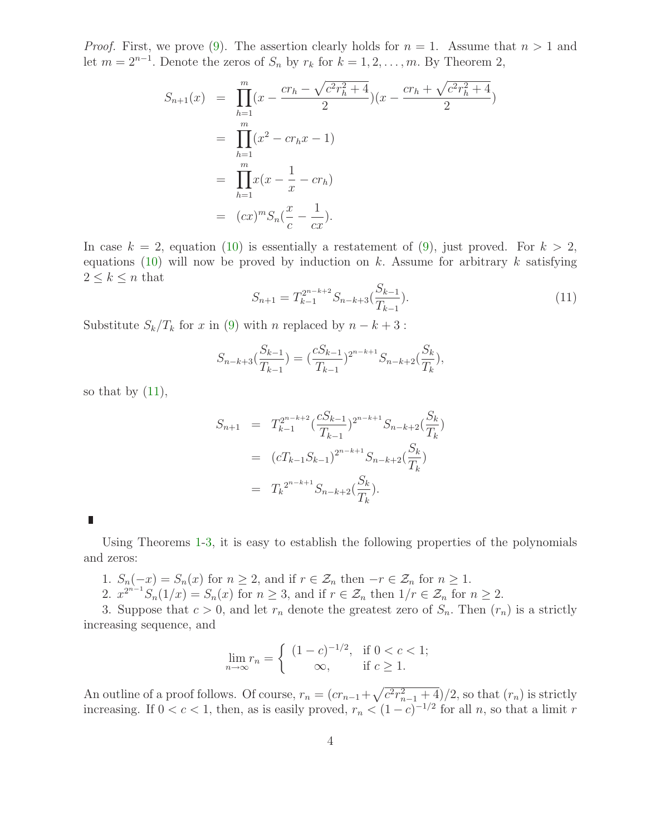*Proof.* First, we prove [\(9\)](#page-2-1). The assertion clearly holds for  $n = 1$ . Assume that  $n > 1$  and let  $m = 2^{n-1}$ . Denote the zeros of  $S_n$  by  $r_k$  for  $k = 1, 2, ..., m$ . By Theorem 2,

$$
S_{n+1}(x) = \prod_{h=1}^{m} (x - \frac{cr_h - \sqrt{c^2 r_h^2 + 4}}{2}) (x - \frac{cr_h + \sqrt{c^2 r_h^2 + 4}}{2})
$$
  
= 
$$
\prod_{h=1}^{m} (x^2 - cr_h x - 1)
$$
  
= 
$$
\prod_{h=1}^{m} x (x - \frac{1}{x} - cr_h)
$$
  
= 
$$
(cx)^m S_n(\frac{x}{c} - \frac{1}{cx}).
$$

<span id="page-3-0"></span>In case  $k = 2$ , equation [\(10\)](#page-2-2) is essentially a restatement of [\(9\)](#page-2-1), just proved. For  $k > 2$ , equations [\(10\)](#page-2-2) will now be proved by induction on k. Assume for arbitrary k satisfying  $2 \leq k \leq n$  that

$$
S_{n+1} = T_{k-1}^{2^{n-k+2}} S_{n-k+3}(\frac{S_{k-1}}{T_{k-1}}).
$$
\n(11)

Substitute  $S_k/T_k$  for x in [\(9\)](#page-2-1) with n replaced by  $n - k + 3$ :

$$
S_{n-k+3}(\frac{S_{k-1}}{T_{k-1}}) = (\frac{cS_{k-1}}{T_{k-1}})^{2^{n-k+1}} S_{n-k+2}(\frac{S_k}{T_k}),
$$

so that by  $(11)$ ,

$$
S_{n+1} = T_{k-1}^{2^{n-k+2}} \left(\frac{cS_{k-1}}{T_{k-1}}\right)^{2^{n-k+1}} S_{n-k+2} \left(\frac{S_k}{T_k}\right)
$$
  

$$
= (cT_{k-1}S_{k-1})^{2^{n-k+1}} S_{n-k+2} \left(\frac{S_k}{T_k}\right)
$$
  

$$
= T_k^{2^{n-k+1}} S_{n-k+2} \left(\frac{S_k}{T_k}\right).
$$

L

Using Theorems [1-](#page-1-4)[3,](#page-2-3) it is easy to establish the following properties of the polynomials and zeros:

- 1.  $S_n(-x) = S_n(x)$  for  $n \ge 2$ , and if  $r \in \mathcal{Z}_n$  then  $-r \in \mathcal{Z}_n$  for  $n \ge 1$ .
- 2.  $x^{2^{n-1}}S_n(1/x) = S_n(x)$  for  $n \ge 3$ , and if  $r \in \mathcal{Z}_n$  then  $1/r \in \mathcal{Z}_n$  for  $n \ge 2$ .

3. Suppose that  $c > 0$ , and let  $r_n$  denote the greatest zero of  $S_n$ . Then  $(r_n)$  is a strictly increasing sequence, and

$$
\lim_{n \to \infty} r_n = \begin{cases} (1-c)^{-1/2}, & \text{if } 0 < c < 1; \\ \infty, & \text{if } c \ge 1. \end{cases}
$$

An outline of a proof follows. Of course,  $r_n = (cr_{n-1} + \sqrt{c^2r_{n-1}^2 + 4})/2$ , so that  $(r_n)$  is strictly increasing. If  $0 < c < 1$ , then, as is easily proved,  $r_n < (1 - c)^{-1/2}$  for all n, so that a limit r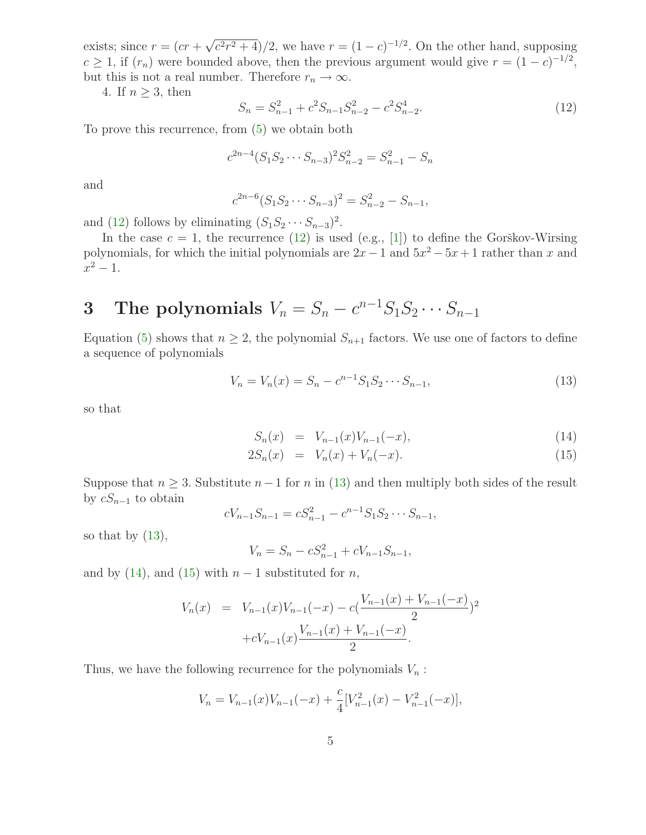exists; since  $r = (cr + \sqrt{c^2r^2 + 4})/2$ , we have  $r = (1 - c)^{-1/2}$ . On the other hand, supposing  $c \ge 1$ , if  $(r_n)$  were bounded above, then the previous argument would give  $r = (1 - c)^{-1/2}$ , but this is not a real number. Therefore  $r_n \to \infty$ .

<span id="page-4-0"></span>4. If  $n \geq 3$ , then

$$
S_n = S_{n-1}^2 + c^2 S_{n-1} S_{n-2}^2 - c^2 S_{n-2}^4.
$$
\n(12)

To prove this recurrence, from [\(5\)](#page-1-5) we obtain both

$$
c^{2n-4}(S_1S_2\cdots S_{n-3})^2S_{n-2}^2=S_{n-1}^2-S_n
$$

and

$$
c^{2n-6}(S_1S_2\cdots S_{n-3})^2 = S_{n-2}^2 - S_{n-1},
$$

and [\(12\)](#page-4-0) follows by eliminating  $(S_1S_2 \cdots S_{n-3})^2$ .

In the case  $c = 1$ , the recurrence [\(12\)](#page-4-0) is used (e.g., [\[1\]](#page-9-1)) to define the Gorškov-Wirsing polynomials, for which the initial polynomials are  $2x - 1$  and  $5x^2 - 5x + 1$  rather than x and  $x^2 - 1$ .

# 3 The polynomials  $V_n = S_n - c^{n-1} S_1 S_2 \cdots S_{n-1}$

<span id="page-4-1"></span>Equation [\(5\)](#page-1-5) shows that  $n \geq 2$ , the polynomial  $S_{n+1}$  factors. We use one of factors to define a sequence of polynomials

$$
V_n = V_n(x) = S_n - c^{n-1} S_1 S_2 \cdots S_{n-1},
$$
\n(13)

so that

$$
S_n(x) = V_{n-1}(x)V_{n-1}(-x), \tag{14}
$$

<span id="page-4-2"></span>
$$
2S_n(x) = V_n(x) + V_n(-x). \tag{15}
$$

Suppose that  $n \geq 3$ . Substitute  $n-1$  for n in [\(13\)](#page-4-1) and then multiply both sides of the result by  $cS_{n-1}$  to obtain

$$
cV_{n-1}S_{n-1}=cS_{n-1}^2-c^{n-1}S_1S_2\cdots S_{n-1},
$$

so that by  $(13)$ ,

$$
V_n = S_n - cS_{n-1}^2 + cV_{n-1}S_{n-1},
$$

and by [\(14\)](#page-4-2), and [\(15\)](#page-4-2) with  $n-1$  substituted for n,

$$
V_n(x) = V_{n-1}(x)V_{n-1}(-x) - c\left(\frac{V_{n-1}(x) + V_{n-1}(-x)}{2}\right)^2 + cV_{n-1}(x)\frac{V_{n-1}(x) + V_{n-1}(-x)}{2}.
$$

Thus, we have the following recurrence for the polynomials  $V_n$ :

$$
V_n = V_{n-1}(x)V_{n-1}(-x) + \frac{c}{4}[V_{n-1}^2(x) - V_{n-1}^2(-x)],
$$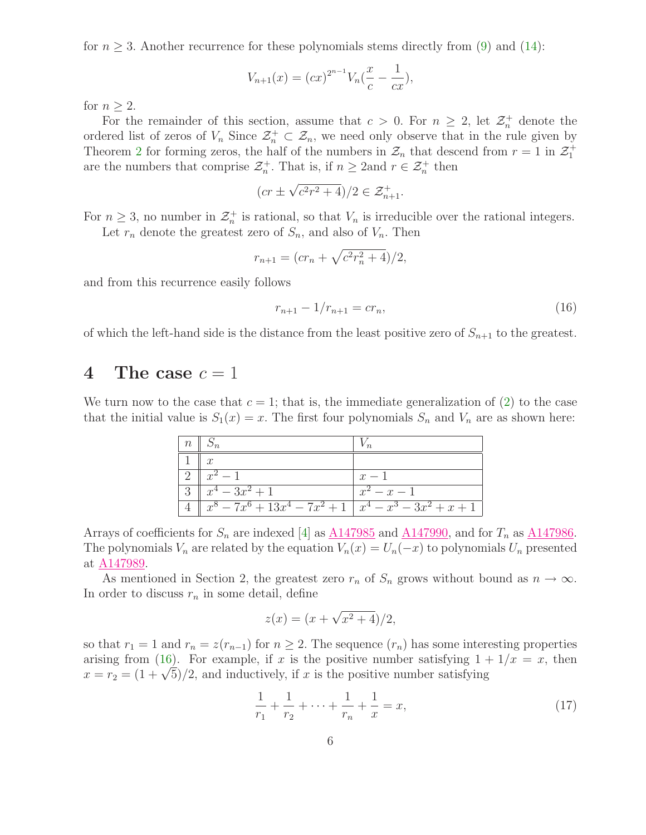for  $n \geq 3$ . Another recurrence for these polynomials stems directly from [\(9\)](#page-2-1) and [\(14\)](#page-4-2):

$$
V_{n+1}(x) = (cx)^{2^{n-1}} V_n(\frac{x}{c} - \frac{1}{cx}),
$$

for  $n \geq 2$ .

For the remainder of this section, assume that  $c > 0$ . For  $n \geq 2$ , let  $\mathcal{Z}_n^+$  denote the ordered list of zeros of  $V_n$  Since  $\mathcal{Z}_n^+ \subset \mathcal{Z}_n$ , we need only observe that in the rule given by Theorem [2](#page-2-4) for forming zeros, the half of the numbers in  $\mathcal{Z}_n$  that descend from  $r = 1$  in  $\mathcal{Z}_1^+$ are the numbers that comprise  $\mathcal{Z}_n^+$ . That is, if  $n \geq 2$  and  $r \in \mathcal{Z}_n^+$  then

$$
(cr\pm\sqrt{c^2r^2+4})/2\in\mathcal{Z}^+_{n+1}.
$$

For  $n \geq 3$ , no number in  $\mathcal{Z}_n^+$  is rational, so that  $V_n$  is irreducible over the rational integers.

Let  $r_n$  denote the greatest zero of  $S_n$ , and also of  $V_n$ . Then

<span id="page-5-0"></span>
$$
r_{n+1} = (cr_n + \sqrt{c^2r_n^2 + 4})/2,
$$

and from this recurrence easily follows

$$
r_{n+1} - 1/r_{n+1} = cr_n,\tag{16}
$$

of which the left-hand side is the distance from the least positive zero of  $S_{n+1}$  to the greatest.

#### 4 The case  $c = 1$

We turn now to the case that  $c = 1$ ; that is, the immediate generalization of [\(2\)](#page-0-0) to the case that the initial value is  $S_1(x) = x$ . The first four polynomials  $S_n$  and  $V_n$  are as shown here:

| $n \parallel S_n$                                             |               |
|---------------------------------------------------------------|---------------|
|                                                               |               |
| $x^2-1$                                                       | $x-1$         |
| $x^4-3x^2+1$                                                  | $x^2 - x - 1$ |
| $x^8 - 7x^6 + 13x^4 - 7x^2 + 1 \mid x^4 - x^3 - 3x^2 + x + 1$ |               |

Arrays of coefficients for  $S_n$  are indexed [\[4\]](#page-10-0) as  $\underline{\text{A147985}}$  $\underline{\text{A147985}}$  $\underline{\text{A147985}}$  and  $\underline{\text{A147990}}$ , and for  $T_n$  as  $\underline{\text{A147986}}$ . The polynomials  $V_n$  are related by the equation  $V_n(x) = U_n(-x)$  to polynomials  $U_n$  presented at [A147989.](http://www.research.att.com/cgi-bin/access.cgi/as/~njas/sequences/eisA.cgi?Anum=A147989)

As mentioned in Section 2, the greatest zero  $r_n$  of  $S_n$  grows without bound as  $n \to \infty$ . In order to discuss  $r_n$  in some detail, define

<span id="page-5-1"></span>
$$
z(x) = (x + \sqrt{x^2 + 4})/2,
$$

so that  $r_1 = 1$  and  $r_n = z(r_{n-1})$  for  $n \geq 2$ . The sequence  $(r_n)$  has some interesting properties arising from [\(16\)](#page-5-0). For example, if x is the positive number satisfying  $1 + 1/x = x$ , then  $x = r_2 = (1 + \sqrt{5})/2$ , and inductively, if x is the positive number satisfying

$$
\frac{1}{r_1} + \frac{1}{r_2} + \dots + \frac{1}{r_n} + \frac{1}{x} = x,\tag{17}
$$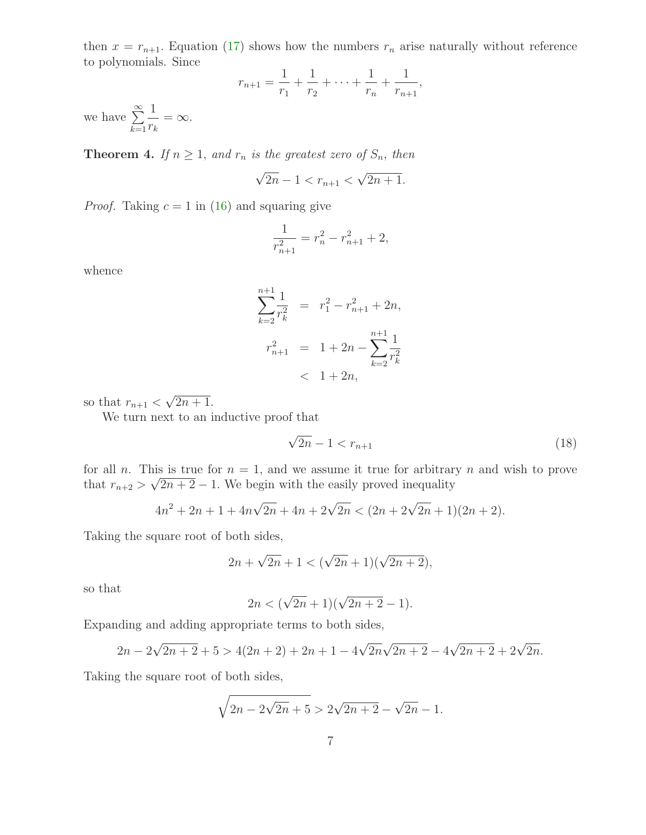then  $x = r_{n+1}$ . Equation [\(17\)](#page-5-1) shows how the numbers  $r_n$  arise naturally without reference to polynomials. Since 1 11

$$
r_{n+1} = \frac{1}{r_1} + \frac{1}{r_2} + \dots + \frac{1}{r_n} + \frac{1}{r_{n+1}},
$$

we have  $\sum^{\infty}$  $k=1$ 1  $\frac{1}{r_k} = \infty.$ 

<span id="page-6-1"></span>**Theorem 4.** If  $n \geq 1$ , and  $r_n$  is the greatest zero of  $S_n$ , then

$$
\sqrt{2n} - 1 < r_{n+1} < \sqrt{2n+1}.
$$

*Proof.* Taking  $c = 1$  in [\(16\)](#page-5-0) and squaring give

$$
\frac{1}{r_{n+1}^2} = r_n^2 - r_{n+1}^2 + 2,
$$

whence

$$
\sum_{k=2}^{n+1} \frac{1}{r_k^2} = r_1^2 - r_{n+1}^2 + 2n,
$$
  

$$
r_{n+1}^2 = 1 + 2n - \sum_{k=2}^{n+1} \frac{1}{r_k^2}
$$
  

$$
< 1 + 2n,
$$

so that  $r_{n+1} < \sqrt{2n+1}$ .

We turn next to an inductive proof that

<span id="page-6-0"></span>
$$
\sqrt{2n} - 1 < r_{n+1} \tag{18}
$$

for all n. This is true for  $n = 1$ , and we assume it true for arbitrary n and wish to prove that  $r_{n+2} > \sqrt{2n+2} - 1$ . We begin with the easily proved inequality

$$
4n^2 + 2n + 1 + 4n\sqrt{2n} + 4n + 2\sqrt{2n} < (2n + 2\sqrt{2n} + 1)(2n + 2).
$$

Taking the square root of both sides,

$$
2n + \sqrt{2n} + 1 < (\sqrt{2n} + 1)(\sqrt{2n + 2}),
$$

so that

$$
2n < (\sqrt{2n} + 1)(\sqrt{2n + 2} - 1).
$$

Expanding and adding appropriate terms to both sides,

$$
2n - 2\sqrt{2n + 2} + 5 > 4(2n + 2) + 2n + 1 - 4\sqrt{2n}\sqrt{2n + 2} - 4\sqrt{2n + 2} + 2\sqrt{2n}.
$$

Taking the square root of both sides,

$$
\sqrt{2n - 2\sqrt{2n} + 5} > 2\sqrt{2n + 2} - \sqrt{2n} - 1.
$$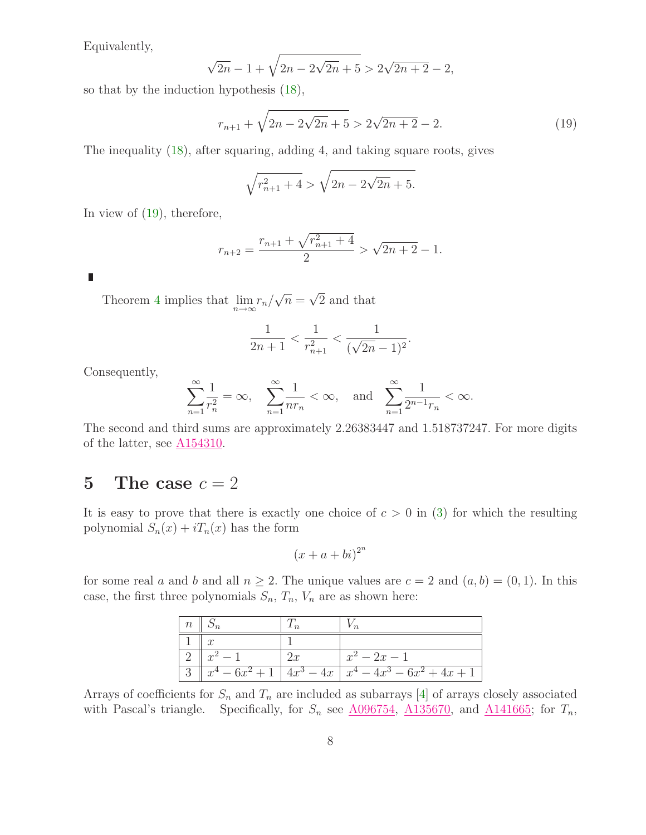Equivalently,

<span id="page-7-0"></span>
$$
\sqrt{2n} - 1 + \sqrt{2n - 2\sqrt{2n} + 5} > 2\sqrt{2n + 2} - 2,
$$

so that by the induction hypothesis [\(18\)](#page-6-0),

$$
r_{n+1} + \sqrt{2n - 2\sqrt{2n + 5}} > 2\sqrt{2n + 2} - 2.
$$
 (19)

The inequality [\(18\)](#page-6-0), after squaring, adding 4, and taking square roots, gives

$$
\sqrt{r_{n+1}^2 + 4} > \sqrt{2n - 2\sqrt{2n} + 5}.
$$

In view of [\(19\)](#page-7-0), therefore,

$$
r_{n+2} = \frac{r_{n+1} + \sqrt{r_{n+1}^2 + 4}}{2} > \sqrt{2n + 2} - 1.
$$

L

Theorem [4](#page-6-1) implies that  $\lim_{n \to \infty} r_n / \sqrt{n} = \sqrt{2}$  and that

$$
\frac{1}{2n+1} < \frac{1}{r_{n+1}^2} < \frac{1}{(\sqrt{2n-1})^2}.
$$

Consequently,

$$
\sum_{n=1}^{\infty}\frac{1}{r_n^2}=\infty,\quad \sum_{n=1}^{\infty}\frac{1}{nr_n}<\infty,\quad \text{and}\quad \sum_{n=1}^{\infty}\frac{1}{2^{n-1}r_n}<\infty.
$$

The second and third sums are approximately 2.26383447 and 1.518737247. For more digits of the latter, see  $\underline{A154310}$ .

#### 5 The case  $c = 2$

It is easy to prove that there is exactly one choice of  $c > 0$  in [\(3\)](#page-1-3) for which the resulting polynomial  $S_n(x) + iT_n(x)$  has the form

$$
(x+a+bi)^{2^n}
$$

for some real a and b and all  $n \geq 2$ . The unique values are  $c = 2$  and  $(a, b) = (0, 1)$ . In this case, the first three polynomials  $S_n$ ,  $T_n$ ,  $V_n$  are as shown here:

| $n \mid S_n$ |    |                                                               |
|--------------|----|---------------------------------------------------------------|
| $\cdot x$    |    |                                                               |
| $x^2-1$      | 2x | $x^2-2x-1$                                                    |
|              |    | $x^4 - 6x^2 + 1$   $4x^3 - 4x$   $x^4 - 4x^3 - 6x^2 + 4x + 1$ |

Arrays of coefficients for  $S_n$  and  $T_n$  are included as subarrays [\[4\]](#page-10-0) of arrays closely associated with Pascal's triangle. Specifically, for  $S_n$  see  $\underline{A096754}$ ,  $\underline{A135670}$ , and  $\underline{A141665}$ ; for  $T_n$ ,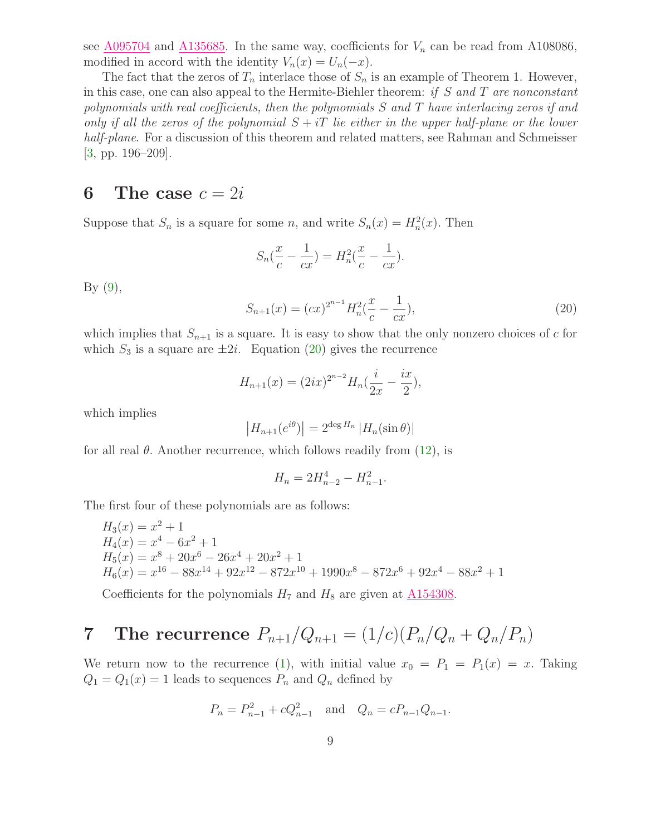see  $\underline{A095704}$  $\underline{A095704}$  $\underline{A095704}$  and  $\underline{A135685}$ . In the same way, coefficients for  $V_n$  can be read from A108086, modified in accord with the identity  $V_n(x) = U_n(-x)$ .

The fact that the zeros of  $T_n$  interlace those of  $S_n$  is an example of Theorem 1. However, in this case, one can also appeal to the Hermite-Biehler theorem: if  $S$  and  $T$  are nonconstant polynomials with real coefficients, then the polynomials  $S$  and  $T$  have interlacing zeros if and only if all the zeros of the polynomial  $S + iT$  lie either in the upper half-plane or the lower half-plane. For a discussion of this theorem and related matters, see Rahman and Schmeisser [\[3,](#page-9-2) pp. 196–209].

#### 6 The case  $c = 2i$

Suppose that  $S_n$  is a square for some n, and write  $S_n(x) = H_n^2(x)$ . Then

$$
S_n(\frac{x}{c} - \frac{1}{cx}) = H_n^2(\frac{x}{c} - \frac{1}{cx}).
$$

<span id="page-8-0"></span> $By (9),$  $By (9),$  $By (9),$ 

$$
S_{n+1}(x) = (cx)^{2^{n-1}} H_n^2(\frac{x}{c} - \frac{1}{cx}),
$$
\n(20)

which implies that  $S_{n+1}$  is a square. It is easy to show that the only nonzero choices of c for which  $S_3$  is a square are  $\pm 2i$ . Equation [\(20\)](#page-8-0) gives the recurrence

$$
H_{n+1}(x) = (2ix)^{2^{n-2}} H_n(\frac{i}{2x} - \frac{ix}{2}),
$$

which implies

$$
|H_{n+1}(e^{i\theta})| = 2^{\deg H_n} |H_n(\sin \theta)|
$$

for all real  $\theta$ . Another recurrence, which follows readily from [\(12\)](#page-4-0), is

$$
H_n = 2H_{n-2}^4 - H_{n-1}^2.
$$

The first four of these polynomials are as follows:

$$
H_3(x) = x^2 + 1
$$
  
\n
$$
H_4(x) = x^4 - 6x^2 + 1
$$
  
\n
$$
H_5(x) = x^8 + 20x^6 - 26x^4 + 20x^2 + 1
$$
  
\n
$$
H_6(x) = x^{16} - 88x^{14} + 92x^{12} - 872x^{10} + 1990x^8 - 872x^6 + 92x^4 - 88x^2 + 1
$$

Coefficients for the polynomials  $H_7$  and  $H_8$  are given at  $\underline{\text{A154308}}$ .

# **7** The recurrence  $P_{n+1}/Q_{n+1} = (1/c)(P_n/Q_n + Q_n/P_n)$

We return now to the recurrence [\(1\)](#page-0-1), with initial value  $x_0 = P_1 = P_1(x) = x$ . Taking  $Q_1 = Q_1(x) = 1$  leads to sequences  $P_n$  and  $Q_n$  defined by

$$
P_n = P_{n-1}^2 + cQ_{n-1}^2
$$
 and  $Q_n = cP_{n-1}Q_{n-1}$ .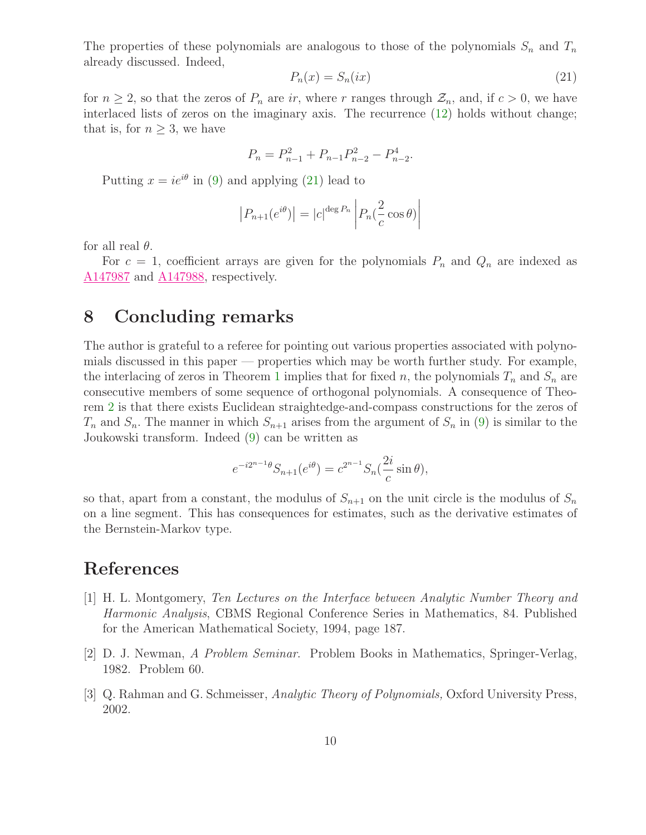<span id="page-9-3"></span>The properties of these polynomials are analogous to those of the polynomials  $S_n$  and  $T_n$ already discussed. Indeed,

$$
P_n(x) = S_n(ix) \tag{21}
$$

for  $n \geq 2$ , so that the zeros of  $P_n$  are ir, where r ranges through  $\mathcal{Z}_n$ , and, if  $c > 0$ , we have interlaced lists of zeros on the imaginary axis. The recurrence [\(12\)](#page-4-0) holds without change; that is, for  $n \geq 3$ , we have

$$
P_n = P_{n-1}^2 + P_{n-1}P_{n-2}^2 - P_{n-2}^4.
$$

Putting  $x = ie^{i\theta}$  in [\(9\)](#page-2-1) and applying [\(21\)](#page-9-3) lead to

$$
|P_{n+1}(e^{i\theta})| = |c|^{\deg P_n} \left| P_n(\frac{2}{c}\cos\theta) \right|
$$

for all real  $\theta$ .

For  $c = 1$ , coefficient arrays are given for the polynomials  $P_n$  and  $Q_n$  are indexed as [A147987](http://www.research.att.com/cgi-bin/access.cgi/as/~njas/sequences/eisA.cgi?Anum=A147987) and [A147988,](http://www.research.att.com/cgi-bin/access.cgi/as/~njas/sequences/eisA.cgi?Anum=A147988) respectively.

#### 8 Concluding remarks

The author is grateful to a referee for pointing out various properties associated with polynomials discussed in this paper — properties which may be worth further study. For example, the interlacing of zeros in Theorem [1](#page-1-4) implies that for fixed n, the polynomials  $T_n$  and  $S_n$  are consecutive members of some sequence of orthogonal polynomials. A consequence of Theorem [2](#page-2-4) is that there exists Euclidean straightedge-and-compass constructions for the zeros of  $T_n$  and  $S_n$ . The manner in which  $S_{n+1}$  arises from the argument of  $S_n$  in [\(9\)](#page-2-1) is similar to the Joukowski transform. Indeed [\(9\)](#page-2-1) can be written as

$$
e^{-i2^{n-1}\theta}S_{n+1}(e^{i\theta}) = c^{2^{n-1}}S_n(\frac{2i}{c}\sin\theta),
$$

so that, apart from a constant, the modulus of  $S_{n+1}$  on the unit circle is the modulus of  $S_n$ on a line segment. This has consequences for estimates, such as the derivative estimates of the Bernstein-Markov type.

#### <span id="page-9-1"></span>References

- [1] H. L. Montgomery, Ten Lectures on the Interface between Analytic Number Theory and Harmonic Analysis, CBMS Regional Conference Series in Mathematics, 84. Published for the American Mathematical Society, 1994, page 187.
- <span id="page-9-2"></span><span id="page-9-0"></span>[2] D. J. Newman, A Problem Seminar. Problem Books in Mathematics, Springer-Verlag, 1982. Problem 60.
- [3] Q. Rahman and G. Schmeisser, Analytic Theory of Polynomials, Oxford University Press, 2002.